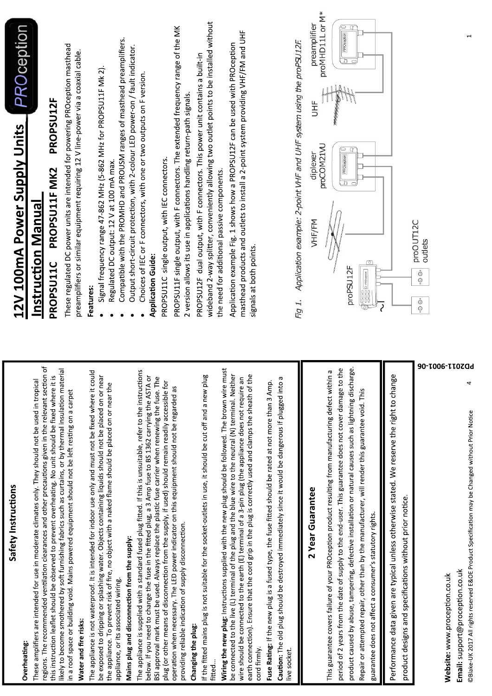| Safety Instructions                                                                                                                                                                                                                                                                                                                          |                                                                                                                                                                                               |
|----------------------------------------------------------------------------------------------------------------------------------------------------------------------------------------------------------------------------------------------------------------------------------------------------------------------------------------------|-----------------------------------------------------------------------------------------------------------------------------------------------------------------------------------------------|
| Overheating:                                                                                                                                                                                                                                                                                                                                 | <b>PROception</b><br>12V 100mA Power Supply Units                                                                                                                                             |
| i of<br>regions. The recommended ventilation clearances and other precautions given in the relevant section<br>These amplifiers are intended for use in moderate climates only. They should not be used in tropical                                                                                                                          | <u>Instruction Manual</u>                                                                                                                                                                     |
| this instruction leaflet should be observed to prevent overheating. No unit should be fixed where it is                                                                                                                                                                                                                                      | PROPSU12F<br>PROPSU11F MK2<br>PROPSU11C                                                                                                                                                       |
| likely to become smothered by soft furnishing fabrics such as curtains, or by thermal insulation material<br>in a roof space or building void. Mains powered equipment should not be left resting on a carpet                                                                                                                                | These regulated DC power units are intended for powering PROception masthead                                                                                                                  |
| Water and fire risks:                                                                                                                                                                                                                                                                                                                        | preamplifiers or similar equipment requiring 12 V line-power via a coaxial cable.                                                                                                             |
| The appliance is not waterproof. It is intended for indoor use only and must not be fixed where it could<br>be exposed to dripping or splashing water. Objects containing liquids should not be placed on or near<br>the appliance. To prevent risk of fire, no object with a naked flame should be placed on or near the                    | Signal frequency range 47-862 MHz (5-862 MHz for PROPSU11F Mk 2).<br>Features:                                                                                                                |
| appliance, or its associated wiring.                                                                                                                                                                                                                                                                                                         | Compatible with the PROMHD and PROUSM ranges of masthead preamplifiers.<br>Regulated DC output: 12 V at 100 mA max.                                                                           |
| Mains plug and disconnection from the supply:                                                                                                                                                                                                                                                                                                | Output short-circuit protection, with 2-colour LED power-on / fault indicator.                                                                                                                |
| The appliance is supplied with a standard fused plug fitted. If this is unsuitable, refer to the instructions<br>below. If you need to change the fuse in the fitted plug, a 3 Amp fuse to BS 1362 carrying the ASTA or<br>BSI approval mark must be used. Always replace the plastic fuse carrier when renewing the fuse. The               | Choices of IEC or F connectors, with one or two outputs on F version.<br><b>Application Guide:</b>                                                                                            |
| plug (or other means of disconnection from the supply, if used) should remain readily accessible for                                                                                                                                                                                                                                         | PROPSU11C single output, with IEC connectors.                                                                                                                                                 |
| operation when necessary. The LED power indicator on this equipment should not be regarded as<br>providing reliable indication of supply disconnection.                                                                                                                                                                                      | PROPSU11F single output, with F connectors. The extended frequency range of the MK<br>2 version allows its use in applications handling return-path signals.                                  |
| Changing the plug:                                                                                                                                                                                                                                                                                                                           | PROPSU12F dual output, with F connectors. This power unit contains a built-in                                                                                                                 |
| If the fitted mains plug is not suitable for the socket-outlets in use, it should be cut off and a new plug<br>fitted                                                                                                                                                                                                                        | wideband 2-way splitter, conveniently allowing two outlet points to be installed without                                                                                                      |
| Wiring the new plug: Instructions supplied with the new plug should be followed. The brown wire must                                                                                                                                                                                                                                         | the need for additional passive components.                                                                                                                                                   |
| be connected to the live (L) terminal of the plug and the blue wire to the neutral (N) terminal. Neither<br>wire should be connected to the earth (E) terminal of a 3-pin plug (the appliance does not require an<br>earth connection). Ensure that the cord grip in the plug is correctly used and clamps the sheath of the<br>cord firmly. | masthead products and outlets to install a 2-point system providing VHF/FM and UHF<br>Application example Fig. 1 shows how a PROPSU12F can be used with PROception<br>signals at both points. |
| Fuse Rating: If the new plug is a fused type, the fuse fitted should be rated at not more than 3 Amp.                                                                                                                                                                                                                                        |                                                                                                                                                                                               |
| Caution: The old plug should be destroyed immediately since it would be dangerous if plugged into a                                                                                                                                                                                                                                          |                                                                                                                                                                                               |
| live socket.                                                                                                                                                                                                                                                                                                                                 | Application example: 2-point VHF and UHF system using the proPSU12F.<br>Fig 1.                                                                                                                |
| 2 Year Guarantee                                                                                                                                                                                                                                                                                                                             | preamplifier<br>HF<br>diplexer<br>VHF/FM                                                                                                                                                      |
| <b>ID</b><br>This guarantee covers failure of your PROception product resulting from manufacturing defect within                                                                                                                                                                                                                             | proMHD11L or M*<br>proCOM21VU                                                                                                                                                                 |
| product caused by abuse, tampering, defective installation or natural causes such as lightning discharge.<br>period of 2 years from the date of supply to the end-user. This guarantee does not cover damage to the                                                                                                                          | ⊝<br>q<br>PROception<br>ᅔ<br>$\subset$<br>⊝<br>q<br>PROception<br>ᆧ<br>proPSU <sub>12F</sub>                                                                                                  |
| Repair or attempted repair, other than by the manufacturer, will render this guarantee void. This<br>guarantee does not affect a consumer's statutory rights.                                                                                                                                                                                | $\begin{array}{l} \sqrt{\texttt{O}\texttt{O}\texttt{O}}\\ \texttt{O}\texttt{O}\texttt{O}\texttt{PROo}\texttt{N} \end{array}$                                                                  |
| Performance data given are typical unless otherwise stated. We reserve the right to change                                                                                                                                                                                                                                                   |                                                                                                                                                                                               |
| product designs and specifications without prior notice.                                                                                                                                                                                                                                                                                     |                                                                                                                                                                                               |
|                                                                                                                                                                                                                                                                                                                                              | proOUT12C<br>outlets<br>$\dot{\odot}$<br>$\odot$                                                                                                                                              |
| 90-T006-TT0ZQd<br>Website: www.proception.co.uk                                                                                                                                                                                                                                                                                              |                                                                                                                                                                                               |
| 4<br>©Blake-UK 2017 All rights reserved E&OE Product Specification may be Changed without Prior Notice<br>Email: support@proception.co.uk                                                                                                                                                                                                    |                                                                                                                                                                                               |

Safety Instructions